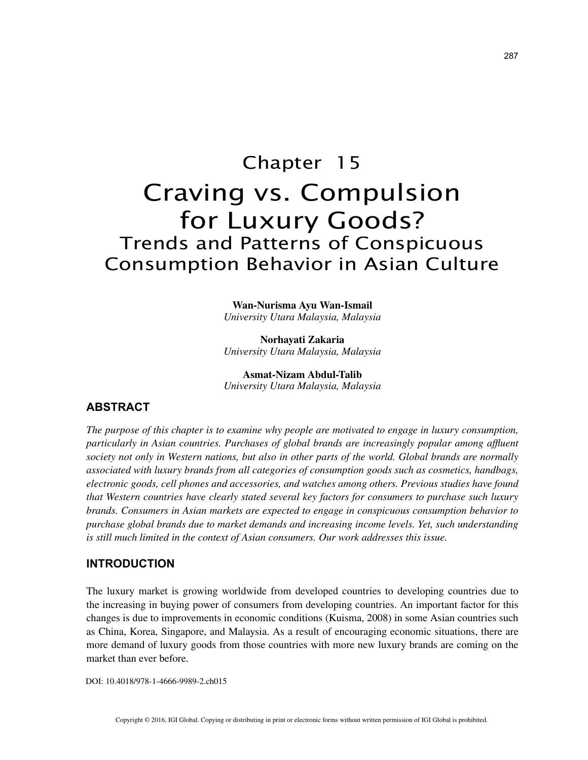# Chapter 15 Craving vs. Compulsion for Luxury Goods? Trends and Patterns of Conspicuous Consumption Behavior in Asian Culture

**Wan-Nurisma Ayu Wan-Ismail** *University Utara Malaysia, Malaysia*

**Norhayati Zakaria** *University Utara Malaysia, Malaysia*

**Asmat-Nizam Abdul-Talib** *University Utara Malaysia, Malaysia*

# **ABSTRACT**

*The purpose of this chapter is to examine why people are motivated to engage in luxury consumption, particularly in Asian countries. Purchases of global brands are increasingly popular among affluent society not only in Western nations, but also in other parts of the world. Global brands are normally associated with luxury brands from all categories of consumption goods such as cosmetics, handbags, electronic goods, cell phones and accessories, and watches among others. Previous studies have found that Western countries have clearly stated several key factors for consumers to purchase such luxury brands. Consumers in Asian markets are expected to engage in conspicuous consumption behavior to purchase global brands due to market demands and increasing income levels. Yet, such understanding is still much limited in the context of Asian consumers. Our work addresses this issue.*

## **INTRODUCTION**

The luxury market is growing worldwide from developed countries to developing countries due to the increasing in buying power of consumers from developing countries. An important factor for this changes is due to improvements in economic conditions (Kuisma, 2008) in some Asian countries such as China, Korea, Singapore, and Malaysia. As a result of encouraging economic situations, there are more demand of luxury goods from those countries with more new luxury brands are coming on the market than ever before.

DOI: 10.4018/978-1-4666-9989-2.ch015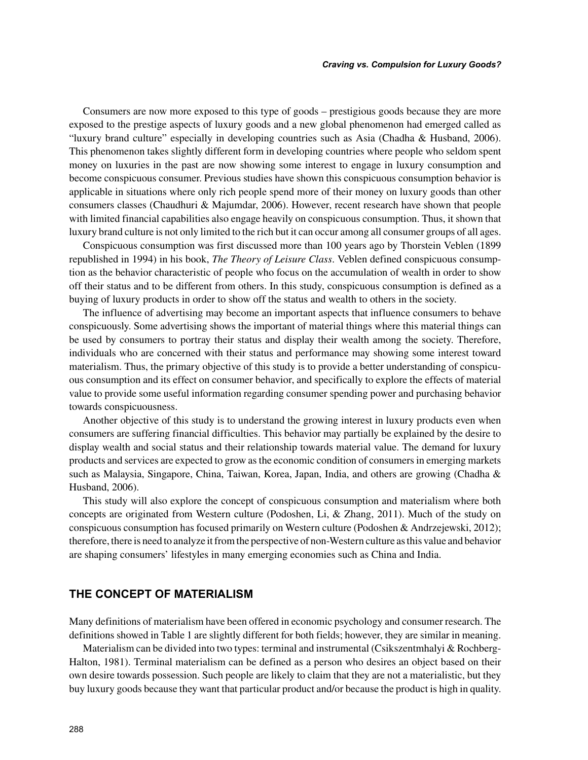Consumers are now more exposed to this type of goods – prestigious goods because they are more exposed to the prestige aspects of luxury goods and a new global phenomenon had emerged called as "luxury brand culture" especially in developing countries such as Asia (Chadha & Husband, 2006). This phenomenon takes slightly different form in developing countries where people who seldom spent money on luxuries in the past are now showing some interest to engage in luxury consumption and become conspicuous consumer. Previous studies have shown this conspicuous consumption behavior is applicable in situations where only rich people spend more of their money on luxury goods than other consumers classes (Chaudhuri & Majumdar, 2006). However, recent research have shown that people with limited financial capabilities also engage heavily on conspicuous consumption. Thus, it shown that luxury brand culture is not only limited to the rich but it can occur among all consumer groups of all ages.

Conspicuous consumption was first discussed more than 100 years ago by Thorstein Veblen (1899 republished in 1994) in his book, *The Theory of Leisure Class*. Veblen defined conspicuous consumption as the behavior characteristic of people who focus on the accumulation of wealth in order to show off their status and to be different from others. In this study, conspicuous consumption is defined as a buying of luxury products in order to show off the status and wealth to others in the society.

The influence of advertising may become an important aspects that influence consumers to behave conspicuously. Some advertising shows the important of material things where this material things can be used by consumers to portray their status and display their wealth among the society. Therefore, individuals who are concerned with their status and performance may showing some interest toward materialism. Thus, the primary objective of this study is to provide a better understanding of conspicuous consumption and its effect on consumer behavior, and specifically to explore the effects of material value to provide some useful information regarding consumer spending power and purchasing behavior towards conspicuousness.

Another objective of this study is to understand the growing interest in luxury products even when consumers are suffering financial difficulties. This behavior may partially be explained by the desire to display wealth and social status and their relationship towards material value. The demand for luxury products and services are expected to grow as the economic condition of consumers in emerging markets such as Malaysia, Singapore, China, Taiwan, Korea, Japan, India, and others are growing (Chadha & Husband, 2006).

This study will also explore the concept of conspicuous consumption and materialism where both concepts are originated from Western culture (Podoshen, Li, & Zhang, 2011). Much of the study on conspicuous consumption has focused primarily on Western culture (Podoshen & Andrzejewski, 2012); therefore, there is need to analyze it from the perspective of non-Western culture as this value and behavior are shaping consumers' lifestyles in many emerging economies such as China and India.

### **THE CONCEPT OF MATERIALISM**

Many definitions of materialism have been offered in economic psychology and consumer research. The definitions showed in Table 1 are slightly different for both fields; however, they are similar in meaning.

Materialism can be divided into two types: terminal and instrumental (Csikszentmhalyi & Rochberg-Halton, 1981). Terminal materialism can be defined as a person who desires an object based on their own desire towards possession. Such people are likely to claim that they are not a materialistic, but they buy luxury goods because they want that particular product and/or because the product is high in quality.